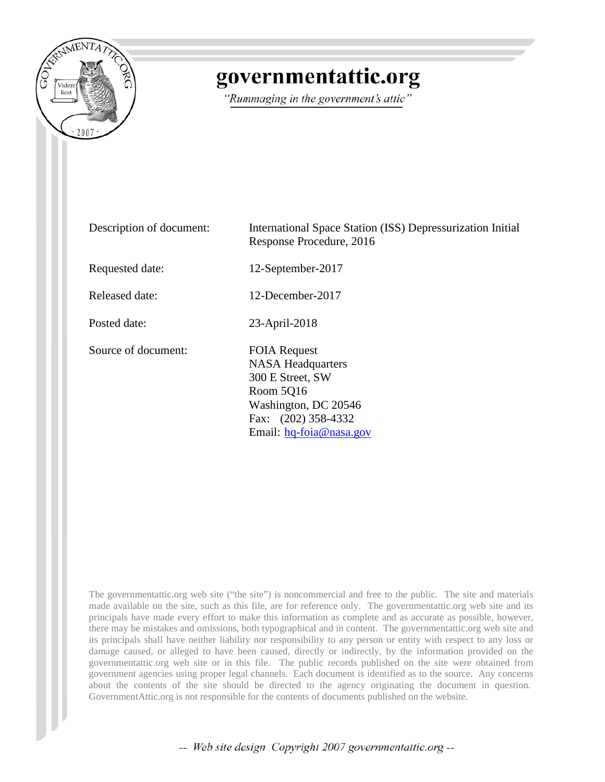

# governmentattic.org

"Rummaging in the government's attic"

Description of document: International Space Station (ISS) Depressurization Initial Response Procedure, 2016 Requested date: 12-September-2017 Released date: 12-December-2017 Posted date: 23-April-2018 Source of document: FOIA Request NASA Headquarters 300 E Street, SW Room 5Q16 Washington, DC 20546 Fax: (202) 358-4332 Email: [hq-foia@nasa.gov](mailto:hq-foia@nasa.gov?subject=FOIA%20Request)

The governmentattic.org web site ("the site") is noncommercial and free to the public. The site and materials made available on the site, such as this file, are for reference only. The governmentattic.org web site and its principals have made every effort to make this information as complete and as accurate as possible, however, there may be mistakes and omissions, both typographical and in content. The governmentattic.org web site and its principals shall have neither liability nor responsibility to any person or entity with respect to any loss or damage caused, or alleged to have been caused, directly or indirectly, by the information provided on the governmentattic.org web site or in this file. The public records published on the site were obtained from government agencies using proper legal channels. Each document is identified as to the source. Any concerns about the contents of the site should be directed to the agency originating the document in question. GovernmentAttic.org is not responsible for the contents of documents published on the website.

-- Web site design Copyright 2007 governmentattic.org --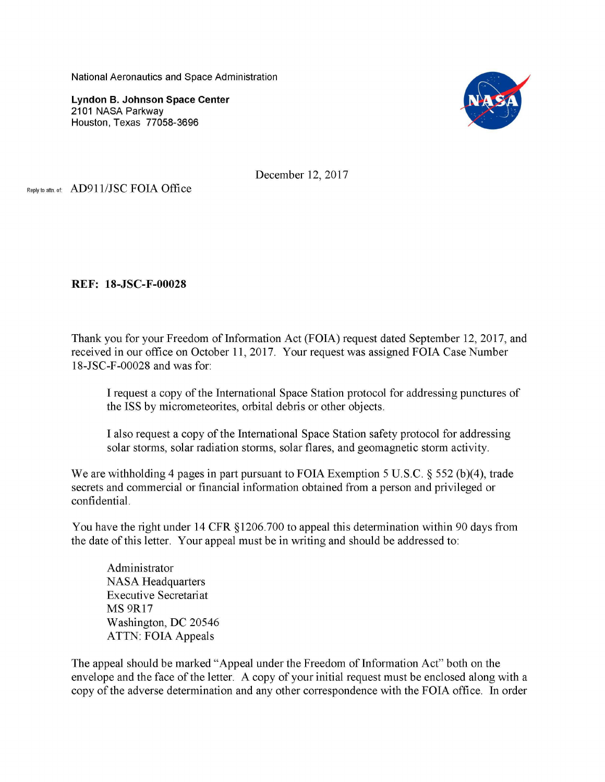National Aeronautics and Space Administration

**Lyndon B. Johnson Space Center**  2101 NASA Parkway Houston, Texas 77058-3696



December 12, 2017

Reply to attn. of: AD911/JSC FOIA Office

**REF: 18-JSC-F-00028** 

Thank you for your Freedom of Information Act (FOIA) request dated September 12, 2017, and received in our office on October 11, 2017. Your request was assigned FOIA Case Number l 8-JSC-F-00028 and was for:

I request a copy of the International Space Station protocol for addressing punctures of the ISS by micrometeorites, orbital debris or other objects.

I also request a copy of the International Space Station safety protocol for addressing solar storms, solar radiation storms, solar flares, and geomagnetic storm activity.

We are withholding 4 pages in part pursuant to FOIA Exemption 5 U.S.C. § 552 (b)(4), trade secrets and commercial or financial information obtained from a person and privileged or confidential.

You have the right under 14 CFR §1206.700 to appeal this determination within 90 days from the date of this letter. Your appeal must be in writing and should be addressed to:

Administrator NASA Headquarters Executive Secretariat MS 9Rl7 Washington, DC 20546 ATTN: FOIA Appeals

The appeal should be marked "Appeal under the Freedom of Information Act" both on the envelope and the face of the letter. A copy of your initial request must be enclosed along with a copy of the adverse determination and any other correspondence with the FOIA office. In order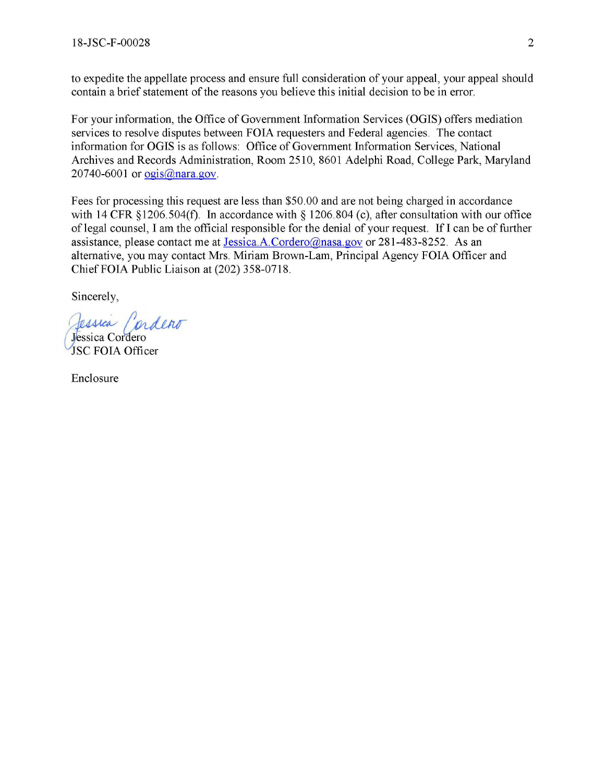to expedite the appellate process and ensure full consideration of your appeal, your appeal should contain a brief statement of the reasons you believe this initial decision to be in error.

For your information, the Office of Government Information Services **(OGIS)** offers mediation services to resolve disputes between FOIA requesters and Federal agencies. The contact information for OGIS is as follows: Office of Government Information Services, National Archives and Records Administration, Room 2510, 8601 Adelphi Road, College Park, Maryland 20740-6001 or  $ogis(\partial)$ nara.gov.

Fees for processing this request are less than \$50.00 and are not being charged in accordance with 14 CFR §1206.504(f). In accordance with § 1206.804 (c), after consultation with our office of legal counsel, I am the official responsible for the denial of your request. If I can be of further assistance, please contact me at Jessica.A.Cordero@nasa.gov or 281-483-8252. As an alternative, you may contact Mrs. Miriam Brown-Lam, Principal Agency FOIA Officer and Chief FOIA Public Liaison at (202) 358-0718.

Sincerely,

Jessica Cordeno JSC FOIA Officer

Enclosure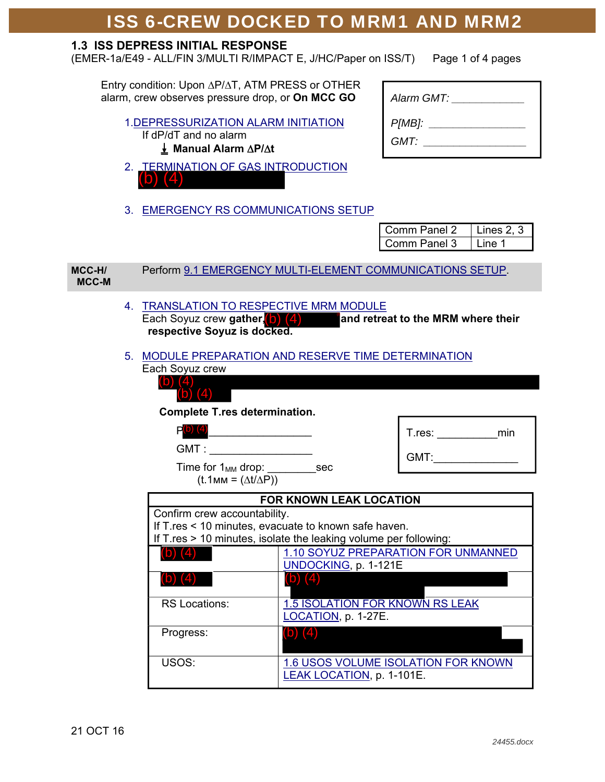#### **1.3 ISS DEPRESS INITIAL RESPONSE**

(EMER-1a/E49 - ALL/FIN 3/MULTI R/IMPACT E, J/HC/Paper on ISS/T) Page 1 of 4 pages

Entry condition: Upon  $\Delta$ P/ $\Delta$ T, ATM PRESS or OTHER alarm, crew observes pressure drop, or **On MCC GO**

#### 1.DEPRESSURIZATION ALARM INITIATION If dP/dT and no alarm E **Manual Alarm P/t**

- 2. TERMINATION OF GAS INTRODUCTION (b) (4)
- 3. EMERGENCY RS COMMUNICATIONS SETUP

| Alarm GMT:     |  |
|----------------|--|
| P[MB]:<br>GMT: |  |

|                                            |                                                                                                                                                          |                                                                                                               |                                  | Comm Panel 2<br>Lines $2, 3$           |  |
|--------------------------------------------|----------------------------------------------------------------------------------------------------------------------------------------------------------|---------------------------------------------------------------------------------------------------------------|----------------------------------|----------------------------------------|--|
|                                            |                                                                                                                                                          |                                                                                                               |                                  | Comm Panel 3<br>Line 1                 |  |
| MCC-H/<br>MCC-M                            |                                                                                                                                                          | Perform 9.1 EMERGENCY MULTI-ELEMENT COMMUNICATIONS SETUP.                                                     |                                  |                                        |  |
|                                            |                                                                                                                                                          | 4. TRANSLATION TO RESPECTIVE MRM MODULE<br>Each Soyuz crew gather, $(b)$ $(4)$<br>respective Soyuz is docked. |                                  | and retreat to the MRM where their     |  |
|                                            |                                                                                                                                                          | 5. MODULE PREPARATION AND RESERVE TIME DETERMINATION<br>Each Soyuz crew                                       |                                  |                                        |  |
|                                            |                                                                                                                                                          | (b) $(4)$<br><b>Complete T.res determination.</b>                                                             |                                  |                                        |  |
|                                            |                                                                                                                                                          | $P(b)$ (4)<br>GMT : __________________                                                                        |                                  |                                        |  |
| GMT:<br>$(t.1$ MM = $(\Delta t/\Delta P))$ |                                                                                                                                                          |                                                                                                               |                                  |                                        |  |
|                                            | <b>FOR KNOWN LEAK LOCATION</b>                                                                                                                           |                                                                                                               |                                  |                                        |  |
|                                            | Confirm crew accountability.<br>If T.res < 10 minutes, evacuate to known safe haven.<br>If T.res > 10 minutes, isolate the leaking volume per following: |                                                                                                               |                                  |                                        |  |
|                                            | 1.10 SOYUZ PREPARATION FOR UNMANNED<br>(b) $(4)$<br>UNDOCKING, p. 1-121E                                                                                 |                                                                                                               |                                  |                                        |  |
|                                            |                                                                                                                                                          | <b>RS Locations:</b>                                                                                          | (b) $(4)$<br>LOCATION, p. 1-27E. | <b>1.5 ISOLATION FOR KNOWN RS LEAK</b> |  |
|                                            |                                                                                                                                                          | Progress:                                                                                                     | (b) $(4)$                        |                                        |  |
|                                            |                                                                                                                                                          | USOS:                                                                                                         | LEAK LOCATION, p. 1-101E.        | 1.6 USOS VOLUME ISOLATION FOR KNOWN    |  |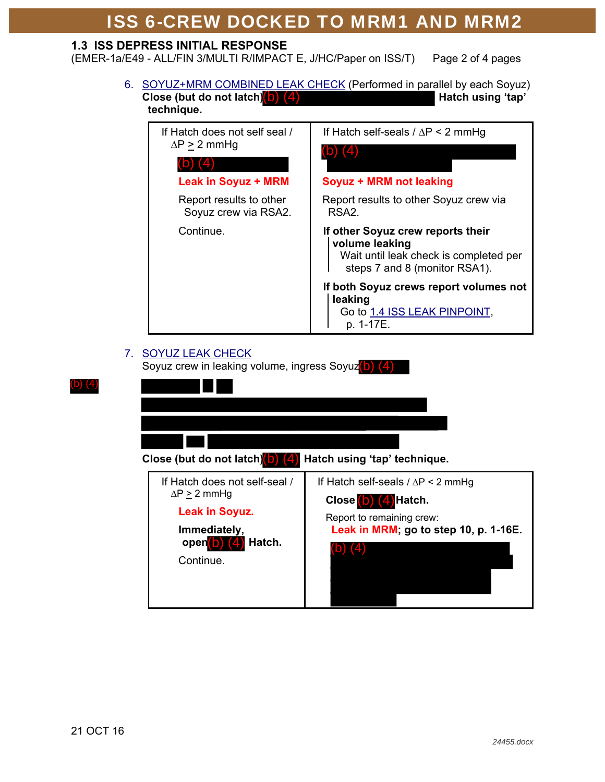#### **1.3 ISS DEPRESS INITIAL RESPONSE**

(EMER-1a/E49 - ALL/FIN 3/MULTI R/IMPACT E, J/HC/Paper on ISS/T) Page 2 of 4 pages

 6. SOYUZ+MRM COMBINED LEAK CHECK (Performed in parallel by each Soyuz) Close (but do not latch) (<mark>4)</mark> **Hatch using 'tap' Hatch using 'tap' technique.** 



### 7. SOYUZ LEAK CHECK

Soyuz crew in leaking volume, ingress Soyuz(b) (4)

| Close (but do not latch) (4)                                                                                                                | Hatch using 'tap' technique.                                                                                                            |
|---------------------------------------------------------------------------------------------------------------------------------------------|-----------------------------------------------------------------------------------------------------------------------------------------|
| If Hatch does not self-seal /<br>$\Delta P > 2$ mmHg<br><b>Leak in Soyuz.</b><br>Immediately,<br>open <sup>1</sup> 0<br>Hatch.<br>Continue. | If Hatch self-seals $/ \Delta P < 2$ mmHg<br>Close (b) (4) Hatch.<br>Report to remaining crew:<br>Leak in MRM; go to step 10, p. 1-16E. |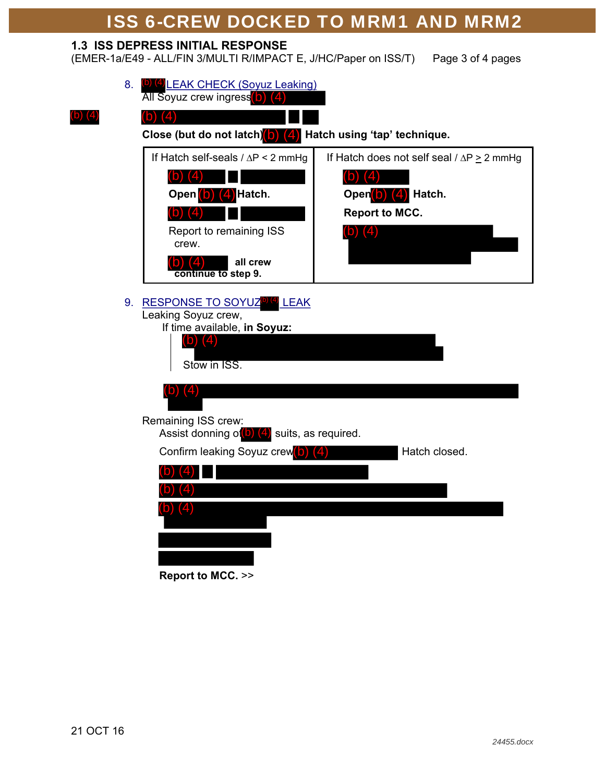### **1.3 ISS DEPRESS INITIAL RESPONSE**

(EMER-1a/E49 - ALL/FIN 3/MULTI R/IMPACT E, J/HC/Paper on ISS/T) Page 3 of 4 pages

|    |                                                                   | 8. (b) (4) LEAK CHECK (Soyuz Leaking)<br><b>All Soyuz crew ingress</b> b)                                                                 |                                                           |  |  |  |  |
|----|-------------------------------------------------------------------|-------------------------------------------------------------------------------------------------------------------------------------------|-----------------------------------------------------------|--|--|--|--|
| ЮJ |                                                                   |                                                                                                                                           |                                                           |  |  |  |  |
|    | Close (but do not latch) $(b)$ $(4)$ Hatch using 'tap' technique. |                                                                                                                                           |                                                           |  |  |  |  |
|    |                                                                   | If Hatch self-seals $/ \Delta P < 2$ mmHg                                                                                                 | If Hatch does not self seal $\land$ $\Delta P \ge 2$ mmHg |  |  |  |  |
|    |                                                                   | (4)<br>וסו                                                                                                                                |                                                           |  |  |  |  |
|    |                                                                   | Open (b) (4) Hatch.                                                                                                                       | Open(b) (4) Hatch.                                        |  |  |  |  |
|    |                                                                   |                                                                                                                                           | <b>Report to MCC.</b>                                     |  |  |  |  |
|    |                                                                   | Report to remaining ISS<br>crew.                                                                                                          | (b)                                                       |  |  |  |  |
|    |                                                                   | all crew<br>continue to step 9.                                                                                                           |                                                           |  |  |  |  |
|    |                                                                   | 9. RESPONSE TO SOYUZ <sup>6</sup> <sup>(4)</sup> LEAK<br>Leaking Soyuz crew,<br>If time available, in Soyuz:<br>(b) $(4)$<br>Stow in ISS. |                                                           |  |  |  |  |
|    |                                                                   | (b) $(4)$                                                                                                                                 |                                                           |  |  |  |  |
|    |                                                                   | Remaining ISS crew:<br>Assist donning of $\left( \mathsf{b}\right)$ (4) suits, as required.                                               |                                                           |  |  |  |  |
|    |                                                                   | Confirm leaking Soyuz crew <sup>(b)</sup> (4)                                                                                             | Hatch closed.                                             |  |  |  |  |
|    |                                                                   |                                                                                                                                           |                                                           |  |  |  |  |
|    |                                                                   |                                                                                                                                           |                                                           |  |  |  |  |
|    |                                                                   | $(D)$ $(4)$                                                                                                                               |                                                           |  |  |  |  |
|    |                                                                   |                                                                                                                                           |                                                           |  |  |  |  |
|    |                                                                   |                                                                                                                                           |                                                           |  |  |  |  |
|    |                                                                   |                                                                                                                                           |                                                           |  |  |  |  |

**Report to MCC.** >>